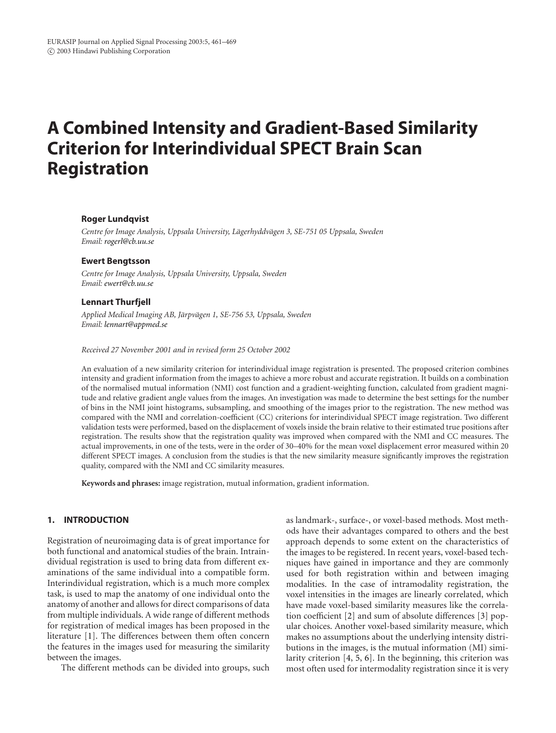# **A Combined Intensity and Gradient-Based Similarity Criterion for Interindividual SPECT Brain Scan Registration**

#### **Roger Lundqvist**

*Centre for Image Analysis, Uppsala University, Lagerhyddv ¨ agen 3, SE-751 05 Uppsala, Sweden ¨ Email: [rogerl@cb.uu.se](mailto:rogerl@cb.uu.se)*

#### **Ewert Bengtsson**

*Centre for Image Analysis, Uppsala University, Uppsala, Sweden Email: [ewert@cb.uu.se](mailto:ewert@cb.uu.se)*

#### **Lennart Thurfjell**

*Applied Medical Imaging AB, Jarpv ¨ agen 1, SE-756 53, Uppsala, Sweden ¨ Email: [lennart@appmed.se](mailto:lennart@appmed.se)*

*Received 27 November 2001 and in revised form 25 October 2002*

An evaluation of a new similarity criterion for interindividual image registration is presented. The proposed criterion combines intensity and gradient information from the images to achieve a more robust and accurate registration. It builds on a combination of the normalised mutual information (NMI) cost function and a gradient-weighting function, calculated from gradient magnitude and relative gradient angle values from the images. An investigation was made to determine the best settings for the number of bins in the NMI joint histograms, subsampling, and smoothing of the images prior to the registration. The new method was compared with the NMI and correlation-coefficient (CC) criterions for interindividual SPECT image registration. Two different validation tests were performed, based on the displacement of voxels inside the brain relative to their estimated true positions after registration. The results show that the registration quality was improved when compared with the NMI and CC measures. The actual improvements, in one of the tests, were in the order of 30–40% for the mean voxel displacement error measured within 20 different SPECT images. A conclusion from the studies is that the new similarity measure significantly improves the registration quality, compared with the NMI and CC similarity measures.

**Keywords and phrases:** image registration, mutual information, gradient information.

# **1. INTRODUCTION**

Registration of neuroimaging data is of great importance for both functional and anatomical studies of the brain. Intraindividual registration is used to bring data from different examinations of the same individual into a compatible form. Interindividual registration, which is a much more complex task, is used to map the anatomy of one individual onto the anatomy of another and allows for direct comparisons of data from multiple individuals. A wide range of different methods for registration of medical images has been proposed in the literature [\[1](#page-7-0)]. The differences between them often concern the features in the images used for measuring the similarity between the images.

The different methods can be divided into groups, such

as landmark-, surface-, or voxel-based methods. Most methods have their advantages compared to others and the best approach depends to some extent on the characteristics of the images to be registered. In recent years, voxel-based techniques have gained in importance and they are commonly used for both registration within and between imaging modalities. In the case of intramodality registration, the voxel intensities in the images are linearly correlated, which have made voxel-based similarity measures like the correlation coefficient [\[2\]](#page-7-1) and sum of absolute differences [\[3\]](#page-7-2) popular choices. Another voxel-based similarity measure, which makes no assumptions about the underlying intensity distributions in the images, is the mutual information (MI) similarity criterion [\[4,](#page-7-3) [5,](#page-7-4) [6\]](#page-7-5). In the beginning, this criterion was most often used for intermodality registration since it is very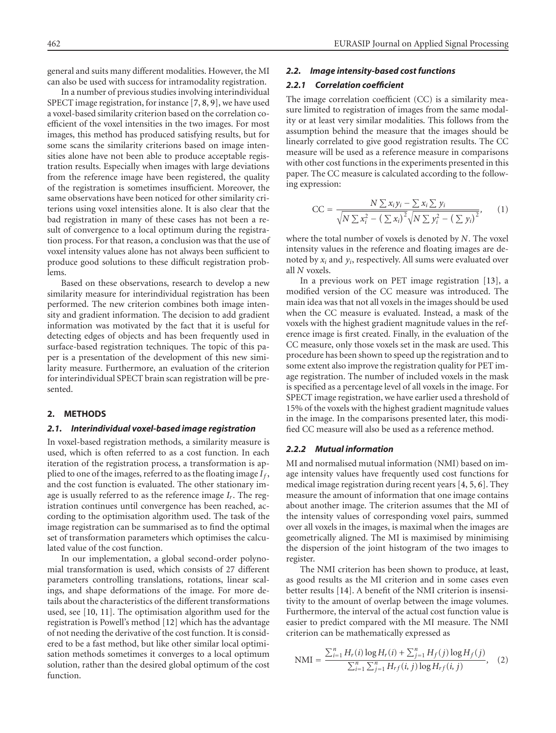general and suits many different modalities. However, the MI can also be used with success for intramodality registration.

In a number of previous studies involving interindividual SPECT image registration, for instance [\[7,](#page-7-6) [8](#page-7-7), [9](#page-7-8)], we have used a voxel-based similarity criterion based on the correlation coefficient of the voxel intensities in the two images. For most images, this method has produced satisfying results, but for some scans the similarity criterions based on image intensities alone have not been able to produce acceptable registration results. Especially when images with large deviations from the reference image have been registered, the quality of the registration is sometimes insufficient. Moreover, the same observations have been noticed for other similarity criterions using voxel intensities alone. It is also clear that the bad registration in many of these cases has not been a result of convergence to a local optimum during the registration process. For that reason, a conclusion was that the use of voxel intensity values alone has not always been sufficient to produce good solutions to these difficult registration problems.

Based on these observations, research to develop a new similarity measure for interindividual registration has been performed. The new criterion combines both image intensity and gradient information. The decision to add gradient information was motivated by the fact that it is useful for detecting edges of objects and has been frequently used in surface-based registration techniques. The topic of this paper is a presentation of the development of this new similarity measure. Furthermore, an evaluation of the criterion for interindividual SPECT brain scan registration will be presented.

#### **2. METHODS**

#### *2.1. Interindividual voxel-based image registration*

In voxel-based registration methods, a similarity measure is used, which is often referred to as a cost function. In each iteration of the registration process, a transformation is applied to one of the images, referred to as the floating image  $I_f$ , and the cost function is evaluated. The other stationary image is usually referred to as the reference image *Ir*. The registration continues until convergence has been reached, according to the optimisation algorithm used. The task of the image registration can be summarised as to find the optimal set of transformation parameters which optimises the calculated value of the cost function.

In our implementation, a global second-order polynomial transformation is used, which consists of 27 different parameters controlling translations, rotations, linear scalings, and shape deformations of the image. For more details about the characteristics of the different transformations used, see [\[10,](#page-7-9) [11\]](#page-7-10). The optimisation algorithm used for the registration is Powell's method [\[12](#page-7-11)] which has the advantage of not needing the derivative of the cost function. It is considered to be a fast method, but like other similar local optimisation methods sometimes it converges to a local optimum solution, rather than the desired global optimum of the cost function.

#### *2.2. Image intensity-based cost functions*

## *2.2.1 Correlation coefficient*

The image correlation coefficient (CC) is a similarity measure limited to registration of images from the same modality or at least very similar modalities. This follows from the assumption behind the measure that the images should be linearly correlated to give good registration results. The CC measure will be used as a reference measure in comparisons with other cost functions in the experiments presented in this paper. The CC measure is calculated according to the following expression:

<span id="page-1-0"></span>
$$
CC = \frac{N \sum x_i y_i - \sum x_i \sum y_i}{\sqrt{N \sum x_i^2 - (\sum x_i)^2} \sqrt{N \sum y_i^2 - (\sum y_i)^2}},
$$
 (1)

where the total number of voxels is denoted by *N*. The voxel intensity values in the reference and floating images are denoted by *xi* and *yi*, respectively. All sums were evaluated over all *N* voxels.

In a previous work on PET image registration [\[13\]](#page-7-12), a modified version of the CC measure was introduced. The main idea was that not all voxels in the images should be used when the CC measure is evaluated. Instead, a mask of the voxels with the highest gradient magnitude values in the reference image is first created. Finally, in the evaluation of the CC measure, only those voxels set in the mask are used. This procedure has been shown to speed up the registration and to some extent also improve the registration quality for PET image registration. The number of included voxels in the mask is specified as a percentage level of all voxels in the image. For SPECT image registration, we have earlier used a threshold of 15% of the voxels with the highest gradient magnitude values in the image. In the comparisons presented later, this modified CC measure will also be used as a reference method.

## *2.2.2 Mutual information*

MI and normalised mutual information (NMI) based on image intensity values have frequently used cost functions for medical image registration during recent years [\[4,](#page-7-3) [5,](#page-7-4) [6\]](#page-7-5). They measure the amount of information that one image contains about another image. The criterion assumes that the MI of the intensity values of corresponding voxel pairs, summed over all voxels in the images, is maximal when the images are geometrically aligned. The MI is maximised by minimising the dispersion of the joint histogram of the two images to register.

The NMI criterion has been shown to produce, at least, as good results as the MI criterion and in some cases even better results [\[14](#page-7-13)]. A benefit of the NMI criterion is insensitivity to the amount of overlap between the image volumes. Furthermore, the interval of the actual cost function value is easier to predict compared with the MI measure. The NMI criterion can be mathematically expressed as

<span id="page-1-1"></span>
$$
\text{NMI} = \frac{\sum_{i=1}^{n} H_r(i) \log H_r(i) + \sum_{j=1}^{n} H_f(j) \log H_f(j)}{\sum_{i=1}^{n} \sum_{j=1}^{n} H_{rf}(i, j) \log H_{rf}(i, j)}, \quad (2)
$$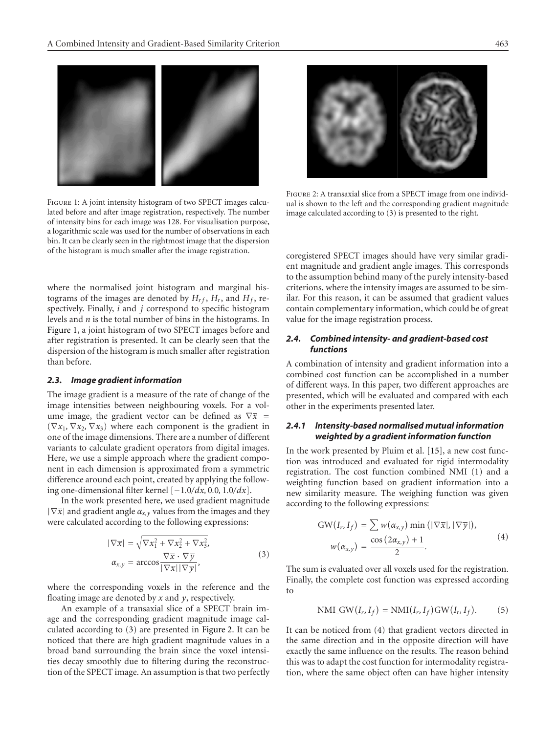

<span id="page-2-0"></span>Figure 1: A joint intensity histogram of two SPECT images calculated before and after image registration, respectively. The number of intensity bins for each image was 128. For visualisation purpose, a logarithmic scale was used for the number of observations in each bin. It can be clearly seen in the rightmost image that the dispersion of the histogram is much smaller after the image registration.

where the normalised joint histogram and marginal histograms of the images are denoted by  $H_{rf}$ ,  $H_r$ , and  $H_f$ , respectively. Finally, *i* and *j* correspond to specific histogram levels and *n* is the total number of bins in the histograms. In [Figure 1,](#page-2-0) a joint histogram of two SPECT images before and after registration is presented. It can be clearly seen that the dispersion of the histogram is much smaller after registration than before.

#### *2.3. Image gradient information*

The image gradient is a measure of the rate of change of the image intensities between neighbouring voxels. For a volume image, the gradient vector can be defined as  $\nabla \overline{x}$  =  $(\nabla x_1, \nabla x_2, \nabla x_3)$  where each component is the gradient in one of the image dimensions. There are a number of different variants to calculate gradient operators from digital images. Here, we use a simple approach where the gradient component in each dimension is approximated from a symmetric difference around each point, created by applying the following one-dimensional filter kernel [−1*.*0*/dx,* <sup>0</sup>*.*0*,* <sup>1</sup>*.*0*/dx*].

In the work presented here, we used gradient magnitude  $|\nabla \overline{x}|$  and gradient angle  $\alpha_{x,y}$  values from the images and they were calculated according to the following expressions:

<span id="page-2-1"></span>
$$
|\nabla \overline{x}| = \sqrt{\nabla x_1^2 + \nabla x_2^2 + \nabla x_3^2},
$$
  
\n
$$
\alpha_{x,y} = \arccos \frac{\nabla \overline{x} \cdot \nabla \overline{y}}{|\nabla \overline{x}| |\nabla \overline{y}|},
$$
\n(3)

where the corresponding voxels in the reference and the floating image are denoted by *x* and *y*, respectively.

An example of a transaxial slice of a SPECT brain image and the corresponding gradient magnitude image calculated according to [\(3\)](#page-2-1) are presented in [Figure 2.](#page-2-2) It can be noticed that there are high gradient magnitude values in a broad band surrounding the brain since the voxel intensities decay smoothly due to filtering during the reconstruction of the SPECT image. An assumption is that two perfectly



Figure 2: A transaxial slice from a SPECT image from one individual is shown to the left and the corresponding gradient magnitude image calculated according to [\(3\)](#page-2-1) is presented to the right.

<span id="page-2-2"></span>coregistered SPECT images should have very similar gradient magnitude and gradient angle images. This corresponds to the assumption behind many of the purely intensity-based criterions, where the intensity images are assumed to be similar. For this reason, it can be assumed that gradient values contain complementary information, which could be of great value for the image registration process.

### *2.4. Combined intensity- and gradient-based cost functions*

A combination of intensity and gradient information into a combined cost function can be accomplished in a number of different ways. In this paper, two different approaches are presented, which will be evaluated and compared with each other in the experiments presented later.

## *2.4.1 Intensity-based normalised mutual information weighted by a gradient information function*

In the work presented by Pluim et al. [\[15](#page-7-14)], a new cost function was introduced and evaluated for rigid intermodality registration. The cost function combined NMI [\(1\)](#page-1-0) and a weighting function based on gradient information into a new similarity measure. The weighing function was given according to the following expressions:

<span id="page-2-3"></span>
$$
GW(I_r, I_f) = \sum w(\alpha_{x,y}) \min(|\nabla \overline{x}|, |\nabla \overline{y}|),
$$
  

$$
w(\alpha_{x,y}) = \frac{\cos(2\alpha_{x,y}) + 1}{2}.
$$
 (4)

<span id="page-2-4"></span>The sum is evaluated over all voxels used for the registration. Finally, the complete cost function was expressed according to

$$
\text{NMI-GW}(I_r, I_f) = \text{NMI}(I_r, I_f)\text{GW}(I_r, I_f). \tag{5}
$$

It can be noticed from [\(4\)](#page-2-3) that gradient vectors directed in the same direction and in the opposite direction will have exactly the same influence on the results. The reason behind this was to adapt the cost function for intermodality registration, where the same object often can have higher intensity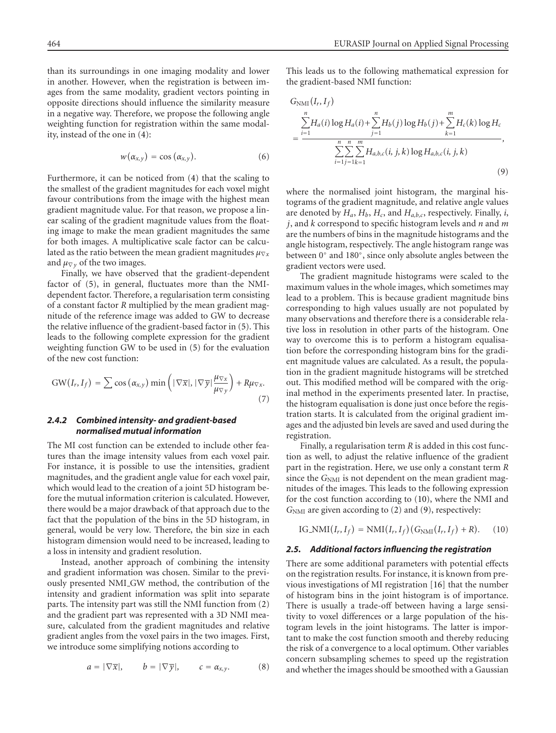than its surroundings in one imaging modality and lower in another. However, when the registration is between images from the same modality, gradient vectors pointing in opposite directions should influence the similarity measure in a negative way. Therefore, we propose the following angle weighting function for registration within the same modality, instead of the one in [\(4\)](#page-2-3):

$$
w(\alpha_{x,y}) = \cos(\alpha_{x,y}). \tag{6}
$$

Furthermore, it can be noticed from [\(4\)](#page-2-3) that the scaling to the smallest of the gradient magnitudes for each voxel might favour contributions from the image with the highest mean gradient magnitude value. For that reason, we propose a linear scaling of the gradient magnitude values from the floating image to make the mean gradient magnitudes the same for both images. A multiplicative scale factor can be calculated as the ratio between the mean gradient magnitudes  $\mu_{\nabla x}$ and  $\mu_{\nabla \nu}$  of the two images.

Finally, we have observed that the gradient-dependent factor of [\(5\)](#page-2-4), in general, fluctuates more than the NMIdependent factor. Therefore, a regularisation term consisting of a constant factor *R* multiplied by the mean gradient magnitude of the reference image was added to GW to decrease the relative influence of the gradient-based factor in [\(5\)](#page-2-4). This leads to the following complete expression for the gradient weighting function GW to be used in [\(5\)](#page-2-4) for the evaluation of the new cost function:

$$
GW(I_r, I_f) = \sum \cos{(\alpha_{x,y})} \min\left(|\nabla \overline{x}|, |\nabla \overline{y}| \frac{\mu_{\nabla x}}{\mu_{\nabla y}}\right) + R\mu_{\nabla x}.
$$
\n(7)

# *2.4.2 Combined intensity- and gradient-based normalised mutual information*

The MI cost function can be extended to include other features than the image intensity values from each voxel pair. For instance, it is possible to use the intensities, gradient magnitudes, and the gradient angle value for each voxel pair, which would lead to the creation of a joint 5D histogram before the mutual information criterion is calculated. However, there would be a major drawback of that approach due to the fact that the population of the bins in the 5D histogram, in general, would be very low. Therefore, the bin size in each histogram dimension would need to be increased, leading to a loss in intensity and gradient resolution.

Instead, another approach of combining the intensity and gradient information was chosen. Similar to the previously presented NMI GW method, the contribution of the intensity and gradient information was split into separate parts. The intensity part was still the NMI function from [\(2\)](#page-1-1) and the gradient part was represented with a 3D NMI measure, calculated from the gradient magnitudes and relative gradient angles from the voxel pairs in the two images. First, we introduce some simplifying notions according to

$$
a = |\nabla \overline{x}|, \qquad b = |\nabla \overline{y}|, \qquad c = \alpha_{x,y}.
$$
 (8)

<span id="page-3-1"></span>This leads us to the following mathematical expression for the gradient-based NMI function:

$$
G_{NMI}(I_r, I_f)
$$
  
= 
$$
\frac{\sum_{i=1}^{n} H_a(i) \log H_a(i) + \sum_{j=1}^{n} H_b(j) \log H_b(j) + \sum_{k=1}^{m} H_c(k) \log H_c}{\sum_{i=1}^{n} \sum_{j=1}^{n} H_{a,b,c}(i, j, k) \log H_{a,b,c}(i, j, k)},
$$
  
(9)

where the normalised joint histogram, the marginal histograms of the gradient magnitude, and relative angle values are denoted by *Ha*, *Hb*, *Hc*, and *Ha,b,c*, respectively. Finally, *i*, *j*, and *k* correspond to specific histogram levels and *n* and *m* are the numbers of bins in the magnitude histograms and the angle histogram, respectively. The angle histogram range was between 0◦ and 180◦, since only absolute angles between the gradient vectors were used.

The gradient magnitude histograms were scaled to the maximum values in the whole images, which sometimes may lead to a problem. This is because gradient magnitude bins corresponding to high values usually are not populated by many observations and therefore there is a considerable relative loss in resolution in other parts of the histogram. One way to overcome this is to perform a histogram equalisation before the corresponding histogram bins for the gradient magnitude values are calculated. As a result, the population in the gradient magnitude histograms will be stretched out. This modified method will be compared with the original method in the experiments presented later. In practise, the histogram equalisation is done just once before the registration starts. It is calculated from the original gradient images and the adjusted bin levels are saved and used during the registration.

Finally, a regularisation term *R* is added in this cost function as well, to adjust the relative influence of the gradient part in the registration. Here, we use only a constant term *R* since the G<sub>NMI</sub> is not dependent on the mean gradient magnitudes of the images. This leads to the following expression for the cost function according to [\(10\)](#page-3-0), where the NMI and  $G<sub>NMI</sub>$  are given according to [\(2\)](#page-1-1) and [\(9\)](#page-3-1), respectively:

<span id="page-3-0"></span>IG\_NMI
$$
(I_r, I_f)
$$
 = NMI $(I_r, I_f)$   $(G_{NMI}(I_r, I_f) + R)$ . (10)

#### *2.5. Additional factors influencing the registration*

There are some additional parameters with potential effects on the registration results. For instance, it is known from previous investigations of MI registration [\[16](#page-8-0)] that the number of histogram bins in the joint histogram is of importance. There is usually a trade-off between having a large sensitivity to voxel differences or a large population of the histogram levels in the joint histograms. The latter is important to make the cost function smooth and thereby reducing the risk of a convergence to a local optimum. Other variables concern subsampling schemes to speed up the registration and whether the images should be smoothed with a Gaussian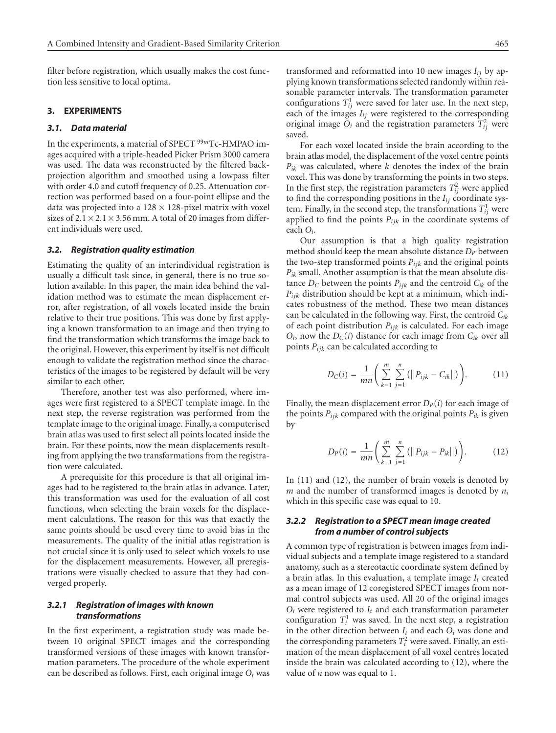filter before registration, which usually makes the cost function less sensitive to local optima.

## **3. EXPERIMENTS**

#### *3.1. Data material*

In the experiments, a material of SPECT <sup>99</sup>*m*Tc-HMPAO images acquired with a triple-headed Picker Prism 3000 camera was used. The data was reconstructed by the filtered backprojection algorithm and smoothed using a lowpass filter with order 4.0 and cutoff frequency of 0.25. Attenuation correction was performed based on a four-point ellipse and the data was projected into a  $128 \times 128$ -pixel matrix with voxel sizes of  $2.1 \times 2.1 \times 3.56$  mm. A total of 20 images from different individuals were used.

#### *3.2. Registration quality estimation*

Estimating the quality of an interindividual registration is usually a difficult task since, in general, there is no true solution available. In this paper, the main idea behind the validation method was to estimate the mean displacement error, after registration, of all voxels located inside the brain relative to their true positions. This was done by first applying a known transformation to an image and then trying to find the transformation which transforms the image back to the original. However, this experiment by itself is not difficult enough to validate the registration method since the characteristics of the images to be registered by default will be very similar to each other.

Therefore, another test was also performed, where images were first registered to a SPECT template image. In the next step, the reverse registration was performed from the template image to the original image. Finally, a computerised brain atlas was used to first select all points located inside the brain. For these points, now the mean displacements resulting from applying the two transformations from the registration were calculated.

A prerequisite for this procedure is that all original images had to be registered to the brain atlas in advance. Later, this transformation was used for the evaluation of all cost functions, when selecting the brain voxels for the displacement calculations. The reason for this was that exactly the same points should be used every time to avoid bias in the measurements. The quality of the initial atlas registration is not crucial since it is only used to select which voxels to use for the displacement measurements. However, all preregistrations were visually checked to assure that they had converged properly.

## *3.2.1 Registration of images with known transformations*

In the first experiment, a registration study was made between 10 original SPECT images and the corresponding transformed versions of these images with known transformation parameters. The procedure of the whole experiment can be described as follows. First, each original image *Oi* was

transformed and reformatted into 10 new images  $I_{ij}$  by applying known transformations selected randomly within reasonable parameter intervals. The transformation parameter configurations  $T_{ii}^1$  were saved for later use. In the next step, each of the images *Iij* were registered to the corresponding original image  $\ddot{O}_i$  and the registration parameters  $T_{ii}^2$  were saved.

For each voxel located inside the brain according to the brain atlas model, the displacement of the voxel centre points *Pik* was calculated, where *k* denotes the index of the brain voxel. This was done by transforming the points in two steps. In the first step, the registration parameters  $T_{ij}^2$  were applied to find the corresponding positions in the *Iij* coordinate system. Finally, in the second step, the transformations  $T_{ij}^1$  were applied to find the points  $P_{ijk}$  in the coordinate systems of each *Oi*.

Our assumption is that a high quality registration method should keep the mean absolute distance *DP* between the two-step transformed points *Pijk* and the original points *Pik* small. Another assumption is that the mean absolute distance  $D_C$  between the points  $P_{ijk}$  and the centroid  $C_{ik}$  of the *Pijk* distribution should be kept at a minimum, which indicates robustness of the method. These two mean distances can be calculated in the following way. First, the centroid *Cik* of each point distribution *Pijk* is calculated. For each image  $O_i$ , now the  $D_C(i)$  distance for each image from  $C_{ik}$  over all points *Pijk* can be calculated according to

<span id="page-4-0"></span>
$$
D_C(i) = \frac{1}{mn} \left( \sum_{k=1}^{m} \sum_{j=1}^{n} (||P_{ijk} - C_{ik}||) \right).
$$
 (11)

<span id="page-4-1"></span>Finally, the mean displacement error  $D<sub>P</sub>(i)$  for each image of the points  $P_{ijk}$  compared with the original points  $P_{ik}$  is given by

$$
D_P(i) = \frac{1}{mn} \left( \sum_{k=1}^{m} \sum_{j=1}^{n} (||P_{ijk} - P_{ik}||) \right).
$$
 (12)

In [\(11\)](#page-4-0) and [\(12\)](#page-4-1), the number of brain voxels is denoted by *m* and the number of transformed images is denoted by *n*, which in this specific case was equal to 10.

## <span id="page-4-2"></span>*3.2.2 Registration to a SPECT mean image created from a number of control subjects*

A common type of registration is between images from individual subjects and a template image registered to a standard anatomy, such as a stereotactic coordinate system defined by a brain atlas. In this evaluation, a template image *It* created as a mean image of 12 coregistered SPECT images from normal control subjects was used. All 20 of the original images *Oi* were registered to *It* and each transformation parameter configuration  $T_i^1$  was saved. In the next step, a registration in the other direction between *It* and each *Oi* was done and the corresponding parameters  $T_i^2$  were saved. Finally, an estimation of the mean displacement of all voxel centres located inside the brain was calculated according to [\(12\)](#page-4-1), where the value of *n* now was equal to 1.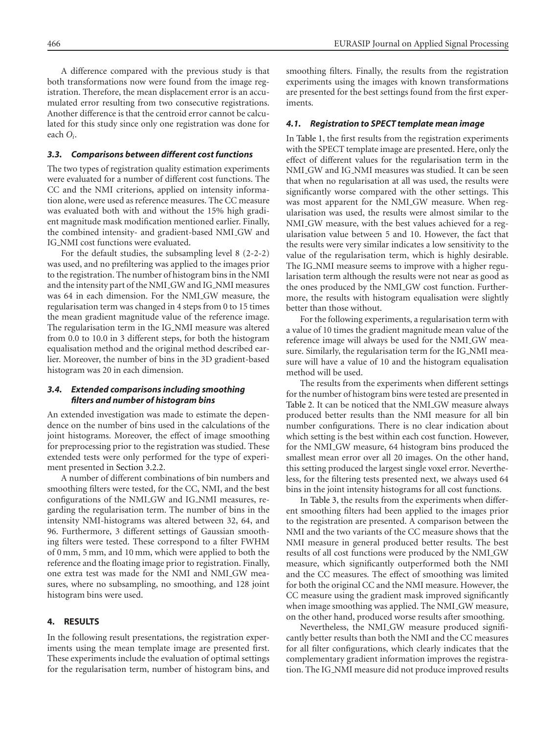A difference compared with the previous study is that both transformations now were found from the image registration. Therefore, the mean displacement error is an accumulated error resulting from two consecutive registrations. Another difference is that the centroid error cannot be calculated for this study since only one registration was done for each *Oi*.

## *3.3. Comparisons between different cost functions*

The two types of registration quality estimation experiments were evaluated for a number of different cost functions. The CC and the NMI criterions, applied on intensity information alone, were used as reference measures. The CC measure was evaluated both with and without the 15% high gradient magnitude mask modification mentioned earlier. Finally, the combined intensity- and gradient-based NMI GW and IG NMI cost functions were evaluated.

For the default studies, the subsampling level 8 (2-2-2) was used, and no prefiltering was applied to the images prior to the registration. The number of histogram bins in the NMI and the intensity part of the NMI GW and IG NMI measures was 64 in each dimension. For the NMI GW measure, the regularisation term was changed in 4 steps from 0 to 15 times the mean gradient magnitude value of the reference image. The regularisation term in the IG NMI measure was altered from 0.0 to 10.0 in 3 different steps, for both the histogram equalisation method and the original method described earlier. Moreover, the number of bins in the 3D gradient-based histogram was 20 in each dimension.

## *3.4. Extended comparisons including smoothing filters and number of histogram bins*

An extended investigation was made to estimate the dependence on the number of bins used in the calculations of the joint histograms. Moreover, the effect of image smoothing for preprocessing prior to the registration was studied. These extended tests were only performed for the type of experiment presented in [Section 3.2.2.](#page-4-2)

A number of different combinations of bin numbers and smoothing filters were tested, for the CC, NMI, and the best configurations of the NMI GW and IG NMI measures, regarding the regularisation term. The number of bins in the intensity NMI-histograms was altered between 32, 64, and 96. Furthermore, 3 different settings of Gaussian smoothing filters were tested. These correspond to a filter FWHM of 0 mm, 5 mm, and 10 mm, which were applied to both the reference and the floating image prior to registration. Finally, one extra test was made for the NMI and NMI GW measures, where no subsampling, no smoothing, and 128 joint histogram bins were used.

# **4. RESULTS**

In the following result presentations, the registration experiments using the mean template image are presented first. These experiments include the evaluation of optimal settings for the regularisation term, number of histogram bins, and smoothing filters. Finally, the results from the registration experiments using the images with known transformations are presented for the best settings found from the first experiments.

#### *4.1. Registration to SPECT template mean image*

In [Table 1,](#page-6-0) the first results from the registration experiments with the SPECT template image are presented. Here, only the effect of different values for the regularisation term in the NMI GW and IG NMI measures was studied. It can be seen that when no regularisation at all was used, the results were significantly worse compared with the other settings. This was most apparent for the NMI GW measure. When regularisation was used, the results were almost similar to the NMI GW measure, with the best values achieved for a regularisation value between 5 and 10. However, the fact that the results were very similar indicates a low sensitivity to the value of the regularisation term, which is highly desirable. The IG NMI measure seems to improve with a higher regularisation term although the results were not near as good as the ones produced by the NMI GW cost function. Furthermore, the results with histogram equalisation were slightly better than those without.

For the following experiments, a regularisation term with a value of 10 times the gradient magnitude mean value of the reference image will always be used for the NMI GW measure. Similarly, the regularisation term for the IG NMI measure will have a value of 10 and the histogram equalisation method will be used.

The results from the experiments when different settings for the number of histogram bins were tested are presented in [Table 2.](#page-6-1) It can be noticed that the NMI GW measure always produced better results than the NMI measure for all bin number configurations. There is no clear indication about which setting is the best within each cost function. However, for the NMI GW measure, 64 histogram bins produced the smallest mean error over all 20 images. On the other hand, this setting produced the largest single voxel error. Nevertheless, for the filtering tests presented next, we always used 64 bins in the joint intensity histograms for all cost functions.

In [Table 3,](#page-6-2) the results from the experiments when different smoothing filters had been applied to the images prior to the registration are presented. A comparison between the NMI and the two variants of the CC measure shows that the NMI measure in general produced better results. The best results of all cost functions were produced by the NMI GW measure, which significantly outperformed both the NMI and the CC measures. The effect of smoothing was limited for both the original CC and the NMI measure. However, the CC measure using the gradient mask improved significantly when image smoothing was applied. The NMI GW measure, on the other hand, produced worse results after smoothing.

Nevertheless, the NMI GW measure produced significantly better results than both the NMI and the CC measures for all filter configurations, which clearly indicates that the complementary gradient information improves the registration. The IG NMI measure did not produce improved results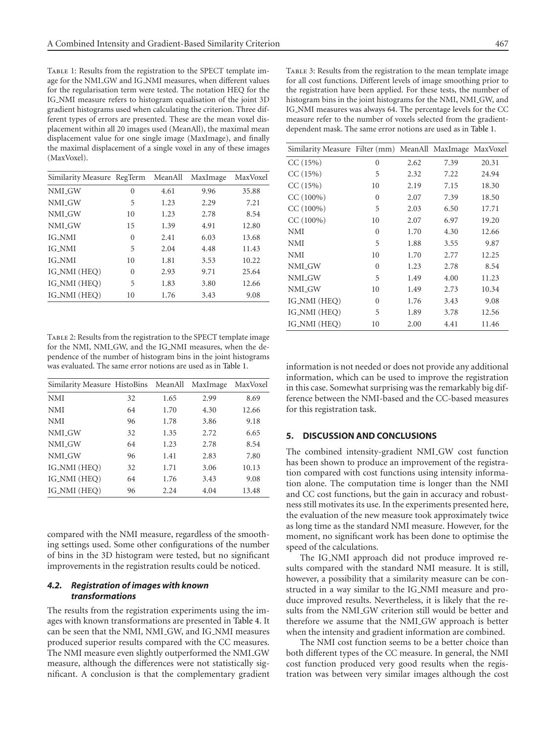<span id="page-6-0"></span>Table 1: Results from the registration to the SPECT template image for the NMI GW and IG NMI measures, when different values for the regularisation term were tested. The notation HEQ for the IG NMI measure refers to histogram equalisation of the joint 3D gradient histograms used when calculating the criterion. Three different types of errors are presented. These are the mean voxel displacement within all 20 images used (MeanAll), the maximal mean displacement value for one single image (MaxImage), and finally the maximal displacement of a single voxel in any of these images (MaxVoxel).

| Similarity Measure RegTerm |          | MeanAll | MaxImage | MaxVoxel |
|----------------------------|----------|---------|----------|----------|
| NML <sub>GW</sub>          | $\theta$ | 4.61    | 9.96     | 35.88    |
| NML <sub>GW</sub>          | 5        | 1.23    | 2.29     | 7.21     |
| NML <sub>GW</sub>          | 10       | 1.23    | 2.78     | 8.54     |
| NMI_GW                     | 15       | 1.39    | 4.91     | 12.80    |
| IG NMI                     | $\theta$ | 2.41    | 6.03     | 13.68    |
| <b>IG_NMI</b>              | 5        | 2.04    | 4.48     | 11.43    |
| <b>IG_NMI</b>              | 10       | 1.81    | 3.53     | 10.22    |
| IG_NMI (HEO)               | $\theta$ | 2.93    | 9.71     | 25.64    |
| IG_NMI (HEO)               | 5        | 1.83    | 3.80     | 12.66    |
| IG_NMI (HEO)               | 10       | 1.76    | 3.43     | 9.08     |

<span id="page-6-1"></span>Table 2: Results from the registration to the SPECT template image for the NMI, NMI GW, and the IG NMI measures, when the dependence of the number of histogram bins in the joint histograms was evaluated. The same error notions are used as in [Table 1.](#page-6-0)

| Similarity Measure HistoBins MeanAll MaxImage |    |      |      | MaxVoxel |
|-----------------------------------------------|----|------|------|----------|
| <b>NMI</b>                                    | 32 | 1.65 | 2.99 | 8.69     |
| <b>NMI</b>                                    | 64 | 1.70 | 4.30 | 12.66    |
| <b>NMI</b>                                    | 96 | 1.78 | 3.86 | 9.18     |
| NMI_GW                                        | 32 | 1.35 | 2.72 | 6.65     |
| NMI_GW                                        | 64 | 1.23 | 2.78 | 8.54     |
| NMI_GW                                        | 96 | 1.41 | 2.83 | 7.80     |
| IG_NMI (HEO)                                  | 32 | 1.71 | 3.06 | 10.13    |
| IG_NMI (HEO)                                  | 64 | 1.76 | 3.43 | 9.08     |
| IG_NMI (HEO)                                  | 96 | 2.24 | 4.04 | 13.48    |

compared with the NMI measure, regardless of the smoothing settings used. Some other configurations of the number of bins in the 3D histogram were tested, but no significant improvements in the registration results could be noticed.

## *4.2. Registration of images with known transformations*

The results from the registration experiments using the images with known transformations are presented in [Table 4.](#page-7-15) It can be seen that the NMI, NMI GW, and IG NMI measures produced superior results compared with the CC measures. The NMI measure even slightly outperformed the NMI GW measure, although the differences were not statistically significant. A conclusion is that the complementary gradient

<span id="page-6-2"></span>TABLE 3: Results from the registration to the mean template image for all cost functions. Different levels of image smoothing prior to the registration have been applied. For these tests, the number of histogram bins in the joint histograms for the NMI, NMI GW, and IG NMI measures was always 64. The percentage levels for the CC measure refer to the number of voxels selected from the gradientdependent mask. The same error notions are used as in [Table 1.](#page-6-0)

| Similarity Measure Filter (mm) MeanAll MaxImage MaxVoxel |              |      |      |       |
|----------------------------------------------------------|--------------|------|------|-------|
| CC(15%)                                                  | $\mathbf{0}$ | 2.62 | 7.39 | 20.31 |
| CC(15%)                                                  | 5            | 2.32 | 7.22 | 24.94 |
| CC(15%)                                                  | 10           | 2.19 | 7.15 | 18.30 |
| $CC(100\%)$                                              | $\theta$     | 2.07 | 7.39 | 18.50 |
| $CC(100\%)$                                              | 5            | 2.03 | 6.50 | 17.71 |
| CC(100%)                                                 | 10           | 2.07 | 6.97 | 19.20 |
| <b>NMI</b>                                               | $\theta$     | 1.70 | 4.30 | 12.66 |
| <b>NMI</b>                                               | 5            | 1.88 | 3.55 | 9.87  |
| <b>NMI</b>                                               | 10           | 1.70 | 2.77 | 12.25 |
| NMLGW                                                    | $\Omega$     | 1.23 | 2.78 | 8.54  |
| NMLGW                                                    | 5            | 1.49 | 4.00 | 11.23 |
| NMLGW                                                    | 10           | 1.49 | 2.73 | 10.34 |
| IG_NMI (HEQ)                                             | $\Omega$     | 1.76 | 3.43 | 9.08  |
| IG_NMI (HEO)                                             | 5            | 1.89 | 3.78 | 12.56 |
| IG_NMI (HEO)                                             | 10           | 2.00 | 4.41 | 11.46 |

information is not needed or does not provide any additional information, which can be used to improve the registration in this case. Somewhat surprising was the remarkably big difference between the NMI-based and the CC-based measures for this registration task.

### **5. DISCUSSION AND CONCLUSIONS**

The combined intensity-gradient NMI GW cost function has been shown to produce an improvement of the registration compared with cost functions using intensity information alone. The computation time is longer than the NMI and CC cost functions, but the gain in accuracy and robustness still motivates its use. In the experiments presented here, the evaluation of the new measure took approximately twice as long time as the standard NMI measure. However, for the moment, no significant work has been done to optimise the speed of the calculations.

The IG NMI approach did not produce improved results compared with the standard NMI measure. It is still, however, a possibility that a similarity measure can be constructed in a way similar to the IG NMI measure and produce improved results. Nevertheless, it is likely that the results from the NMI GW criterion still would be better and therefore we assume that the NMI GW approach is better when the intensity and gradient information are combined.

The NMI cost function seems to be a better choice than both different types of the CC measure. In general, the NMI cost function produced very good results when the registration was between very similar images although the cost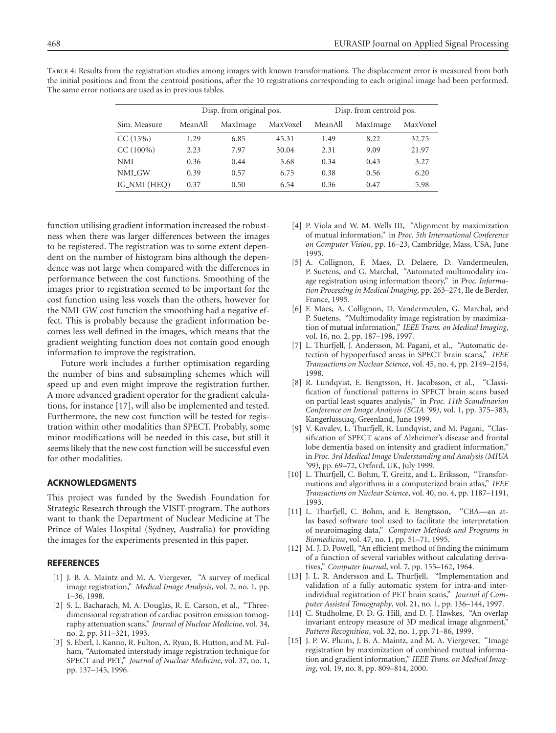<span id="page-7-15"></span>

| TABLE 4: Results from the registration studies among images with known transformations. The displacement error is measured from both       |
|--------------------------------------------------------------------------------------------------------------------------------------------|
| the initial positions and from the centroid positions, after the 10 registrations corresponding to each original image had been performed. |
| The same error notions are used as in previous tables.                                                                                     |

|                   |         | Disp. from original pos. |          |         | Disp. from centroid pos. |          |  |
|-------------------|---------|--------------------------|----------|---------|--------------------------|----------|--|
| Sim. Measure      | MeanAll | MaxImage                 | MaxVoxel | MeanAll | MaxImage                 | MaxVoxel |  |
| CC(15%)           | 1.29    | 6.85                     | 45.31    | 1.49    | 8.22                     | 32.75    |  |
| $CC(100\%)$       | 2.23    | 7.97                     | 30.04    | 2.31    | 9.09                     | 21.97    |  |
| <b>NMI</b>        | 0.36    | 0.44                     | 3.68     | 0.34    | 0.43                     | 3.27     |  |
| NML <sub>GW</sub> | 0.39    | 0.57                     | 6.75     | 0.38    | 0.56                     | 6.20     |  |
| IG_NMI (HEO)      | 0.37    | 0.50                     | 6.54     | 0.36    | 0.47                     | 5.98     |  |

function utilising gradient information increased the robustness when there was larger differences between the images to be registered. The registration was to some extent dependent on the number of histogram bins although the dependence was not large when compared with the differences in performance between the cost functions. Smoothing of the images prior to registration seemed to be important for the cost function using less voxels than the others, however for the NMI GW cost function the smoothing had a negative effect. This is probably because the gradient information becomes less well defined in the images, which means that the gradient weighting function does not contain good enough information to improve the registration.

Future work includes a further optimisation regarding the number of bins and subsampling schemes which will speed up and even might improve the registration further. A more advanced gradient operator for the gradient calculations, for instance [\[17\]](#page-8-1), will also be implemented and tested. Furthermore, the new cost function will be tested for registration within other modalities than SPECT. Probably, some minor modifications will be needed in this case, but still it seems likely that the new cost function will be successful even for other modalities.

# **ACKNOWLEDGMENTS**

This project was funded by the Swedish Foundation for Strategic Research through the VISIT-program. The authors want to thank the Department of Nuclear Medicine at The Prince of Wales Hospital (Sydney, Australia) for providing the images for the experiments presented in this paper.

## <span id="page-7-0"></span>**REFERENCES**

- [1] J. B. A. Maintz and M. A. Viergever, "A survey of medical image registration," *Medical Image Analysis*, vol. 2, no. 1, pp. 1–36, 1998.
- <span id="page-7-1"></span>[2] S. L. Bacharach, M. A. Douglas, R. E. Carson, et al., "Threedimensional registration of cardiac positron emission tomography attenuation scans," *Journal of Nuclear Medicine*, vol. 34, no. 2, pp. 311–321, 1993.
- <span id="page-7-2"></span>[3] S. Eberl, I. Kanno, R. Fulton, A. Ryan, B. Hutton, and M. Fulham, "Automated interstudy image registration technique for SPECT and PET," *Journal of Nuclear Medicine*, vol. 37, no. 1, pp. 137–145, 1996.
- <span id="page-7-3"></span>[4] P. Viola and W. M. Wells III, "Alignment by maximization of mutual information," in *Proc. 5th International Conference on Computer Vision*, pp. 16–23, Cambridge, Mass, USA, June 1995.
- <span id="page-7-4"></span>[5] A. Collignon, F. Maes, D. Delaere, D. Vandermeulen, P. Suetens, and G. Marchal, "Automated multimodality image registration using information theory," in *Proc. Information Processing in Medical Imaging*, pp. 263–274, Ile de Berder, France, 1995.
- <span id="page-7-5"></span>[6] F. Maes, A. Collignon, D. Vandermeulen, G. Marchal, and P. Suetens, "Multimodality image registration by maximization of mutual information," *IEEE Trans. on Medical Imaging*, vol. 16, no. 2, pp. 187–198, 1997.
- <span id="page-7-6"></span>[7] L. Thurfjell, J. Andersson, M. Pagani, et al., "Automatic detection of hypoperfused areas in SPECT brain scans," *IEEE Transactions on Nuclear Science*, vol. 45, no. 4, pp. 2149–2154, 1998.
- <span id="page-7-7"></span>[8] R. Lundqvist, E. Bengtsson, H. Jacobsson, et al., "Classification of functional patterns in SPECT brain scans based on partial least squares analysis," in *Proc. 11th Scandinavian Conference on Image Analysis (SCIA '99)*, vol. 1, pp. 375–383, Kangerlussuaq, Greenland, June 1999.
- <span id="page-7-8"></span>[9] V. Kovalev, L. Thurfjell, R. Lundqvist, and M. Pagani, "Classification of SPECT scans of Alzheimer's disease and frontal lobe dementia based on intensity and gradient information," in *Proc. 3rd Medical Image Understanding and Analysis (MIUA '99)*, pp. 69–72, Oxford, UK, July 1999.
- <span id="page-7-9"></span>[10] L. Thurfjell, C. Bohm, T. Greitz, and L. Eriksson, "Transformations and algorithms in a computerized brain atlas," *IEEE Transactions on Nuclear Science*, vol. 40, no. 4, pp. 1187–1191, 1993.
- <span id="page-7-10"></span>[11] L. Thurfjell, C. Bohm, and E. Bengtsson, "CBA—an atlas based software tool used to facilitate the interpretation of neuroimaging data," *Computer Methods and Programs in Biomedicine*, vol. 47, no. 1, pp. 51–71, 1995.
- <span id="page-7-11"></span>[12] M. J. D. Powell, "An efficient method of finding the minimum of a function of several variables without calculating derivatives," *Computer Journal*, vol. 7, pp. 155–162, 1964.
- <span id="page-7-12"></span>[13] J. L. R. Andersson and L. Thurfjell, "Implementation and validation of a fully automatic system for intra-and interindividual registration of PET brain scans," *Journal of Computer Assisted Tomography*, vol. 21, no. 1, pp. 136–144, 1997.
- <span id="page-7-13"></span>[14] C. Studholme, D. D. G. Hill, and D. J. Hawkes, "An overlap invariant entropy measure of 3D medical image alignment," *Pattern Recognition*, vol. 32, no. 1, pp. 71–86, 1999.
- <span id="page-7-14"></span>[15] J. P. W. Pluim, J. B. A. Maintz, and M. A. Viergever, "Image registration by maximization of combined mutual information and gradient information," *IEEE Trans. on Medical Imaging*, vol. 19, no. 8, pp. 809–814, 2000.